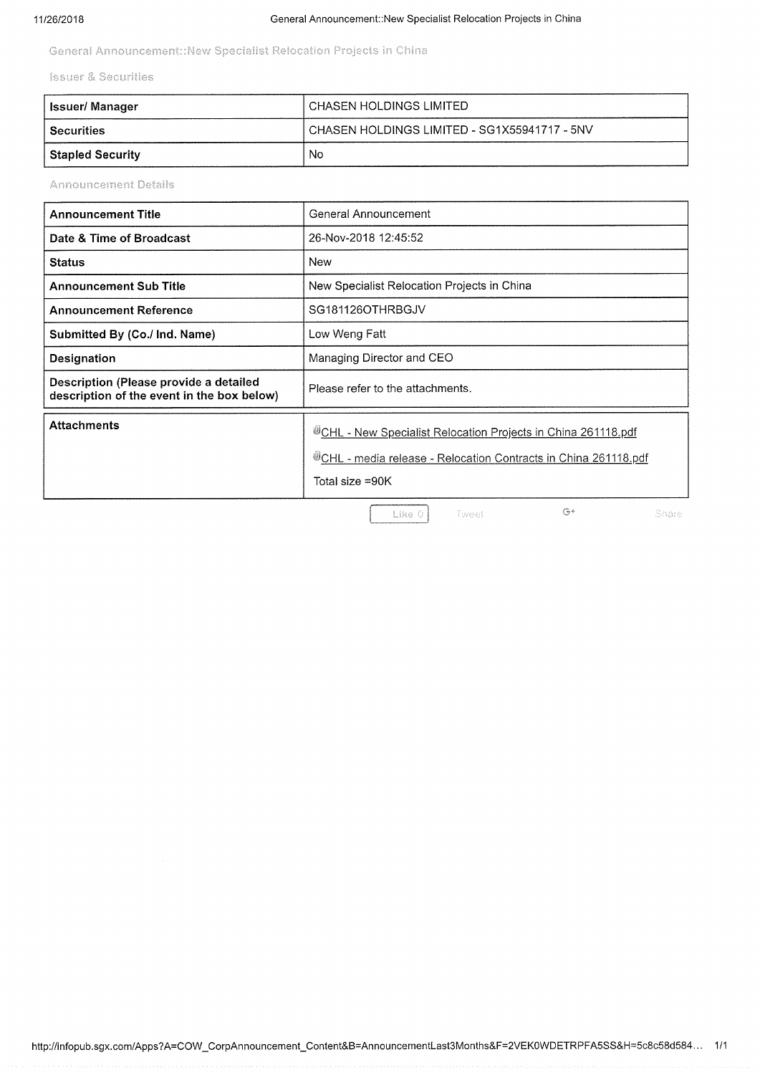General Announcement::New Specialist Relocation Projects in China

**Issuer & Securities** 

| ∣ Issuer/ Manager | ' CHASEN HOLDINGS LIMITED                      |
|-------------------|------------------------------------------------|
| l Securities      | ' CHASEN HOLDINGS LIMITED - SG1X55941717 - 5NV |
| Stapled Security  | No                                             |

**Announcement Details** 

| <b>Announcement Title</b>                                                            | General Announcement                                                                                                                               |
|--------------------------------------------------------------------------------------|----------------------------------------------------------------------------------------------------------------------------------------------------|
| Date & Time of Broadcast                                                             | 26-Nov-2018 12:45:52                                                                                                                               |
| <b>Status</b>                                                                        | New                                                                                                                                                |
| <b>Announcement Sub Title</b>                                                        | New Specialist Relocation Projects in China                                                                                                        |
| <b>Announcement Reference</b>                                                        | SG181126OTHRBGJV                                                                                                                                   |
| Submitted By (Co./ Ind. Name)                                                        | Low Weng Fatt                                                                                                                                      |
| <b>Designation</b>                                                                   | Managing Director and CEO                                                                                                                          |
| Description (Please provide a detailed<br>description of the event in the box below) | Please refer to the attachments.                                                                                                                   |
| <b>Attachments</b>                                                                   | UCHL - New Specialist Relocation Projects in China 261118.pdf<br>CHL - media release - Relocation Contracts in China 261118.pdf<br>Total size =90K |
|                                                                                      | $G+$<br>Share<br>Like 0<br>Tweet                                                                                                                   |

Like 0

 $\mathbb{G}^+$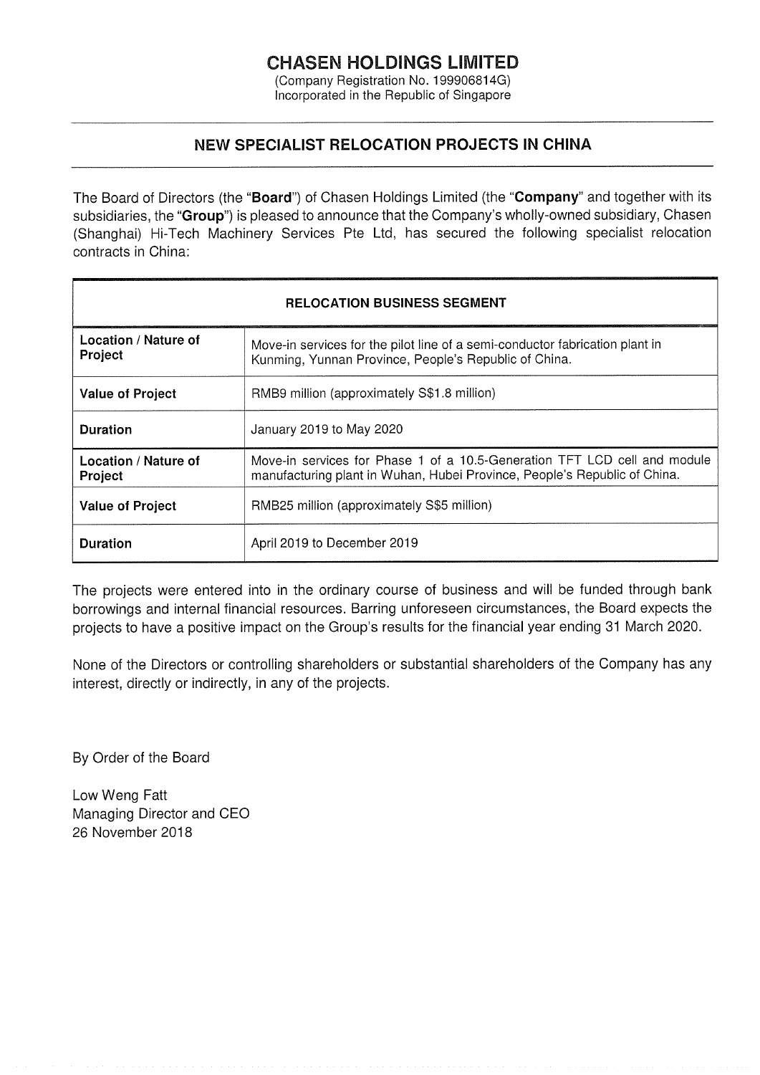## CHASEN HOLDINGS LIMITED

(Company Registration No. 199906814G) Incorporated in the Republic of Singapore

### NEW SPECIALIST RELOCATION PROJECTS IN CHINA

The Board of Directors (the "Board") of Chasen Holdings Limited (the "Company" and together with its subsidiaries, the "Group") is pleased to announce that the Company's wholly-owned subsidiary, Chasen (Shanghai) Hi-Tech Machinery Services Pte Ltd, has secured the following specialist relocation contracts in China:

| <b>RELOCATION BUSINESS SEGMENT</b> |                                                                                                                                                        |  |
|------------------------------------|--------------------------------------------------------------------------------------------------------------------------------------------------------|--|
| Location / Nature of<br>Project    | Move-in services for the pilot line of a semi-conductor fabrication plant in<br>Kunming, Yunnan Province, People's Republic of China.                  |  |
| <b>Value of Project</b>            | RMB9 million (approximately S\$1.8 million)                                                                                                            |  |
| <b>Duration</b>                    | January 2019 to May 2020                                                                                                                               |  |
| Location / Nature of<br>Project    | Move-in services for Phase 1 of a 10.5-Generation TFT LCD cell and module<br>manufacturing plant in Wuhan, Hubei Province, People's Republic of China. |  |
| <b>Value of Project</b>            | RMB25 million (approximately S\$5 million)                                                                                                             |  |
| <b>Duration</b>                    | April 2019 to December 2019                                                                                                                            |  |

The projects were entered into in the ordinary course of business and will be funded through bank borrowings and internal financial resources. Barring unforeseen circumstances, the Board expects the projects to have a positive impact on the Group's results for the financial year ending 31 March 2020.

None of the Directors or controlling shareholders or substantial shareholders of the Company has any interest, directly or indirectly, in any of the projects.

By Order of the Board

Low Weng Fatt Managing Director and CEO 26 November 2018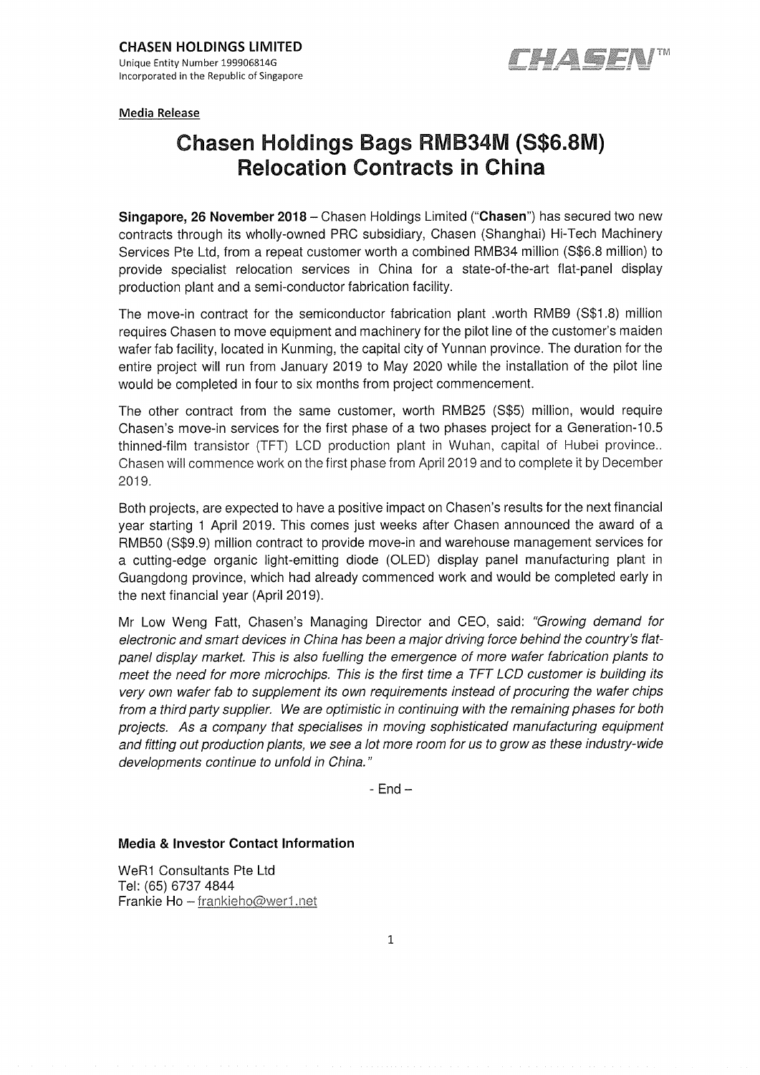

Media Release

# Chasen Holdings Bags RMB34M (S\$6.8M) Relocation Contracts in China

Singapore, 26 November 2018 - Chasen Holdings Limited ("Chasen") has secured two new contracts through its wholly-owned PRC subsidiary, Chasen (Shanghai) Hi-Tech Machinery Services Pte Ltd, from a repeat customer worth a combined RMB34 million (S\$6.8 million) to provide specialist relocation services in China for a state-of-the-art flat-panel display production plant and a semi-conductor fabrication facility

The move-in contract for the semiconductor fabrication plant .worth RMB9 (S\$18) million requires Chasen to move equipment and machinery for the pilot line of the customer's maiden wafer fab facility, located in Kunming, the capital city of Yunnan province. The duration for the entire project will run from January 2019 to May 2020 while the installation of the pilot line would be completed in four to six months from project commencement

The other contract from the same customer, worth RMB25 (S\$5) million, would require Chasen's move-in services for the first phase of a two phases project for a Generation-10.5 thinned-film transistor (TFT) LCD production plant in Wuhan, capital of Hubei province Chasen will commence work on the first phase from April 2019 and to complete it by December 2019

Both projects, are expected to have a positive impact on Chasen's results for the next financial year starting I April2019. This comes just weeks after Chasen announced the award of a RMB50 (S\$9.9) million contract to provide move-in and warehouse management services for a cutting-edge organic light-emitting diode (OLED) display panel manufacturing plant in Guangdong province, which had already commenced work and would be completed early in the next financial year (April 2019).

Mr Low Weng Fatt, Chasen's Managing Director and CEO, said: "Growing demand for electronic and smart devices in China has been a major driving force behind the country's flatpanel display market. This is also fuelfing the emergence of more wafer fabrication plants to meet the need for more microchips. This is the first time a TFT LCD customer is building its very own wafer fab to supplement its own requirements instead of procuring the wafer chips from a third party supplier. We are optimistic in continuing with the remaining phases for both projects. As a company that specialises in moving sophisticated manufacturing equipment and fitting out production plants, we see a lot more room for us to grow as these industry-wide developments continue to unfold in China. "

 $-$  End  $-$ 

### Media & Investor Contact Information

WeRI Consultants Pte Ltd Tel: (65) 67374844 Frankie Ho  $-$  frankieho@wer1.net